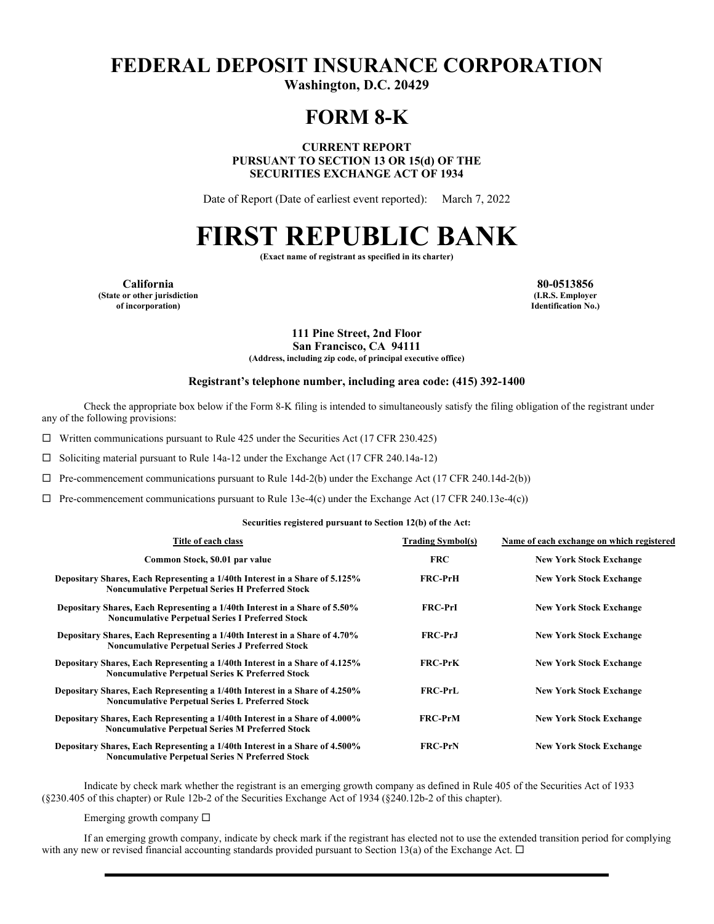# **FEDERAL DEPOSIT INSURANCE CORPORATION**

**Washington, D.C. 20429** 

## **FORM 8-K**

**CURRENT REPORT PURSUANT TO SECTION 13 OR 15(d) OF THE SECURITIES EXCHANGE ACT OF 1934** 

Date of Report (Date of earliest event reported): March 7, 2022

# **FIRST REPUBLIC BANK**

**(Exact name of registrant as specified in its charter)** 

**California 80-0513856 (State or other jurisdiction of incorporation)**

**(I.R.S. Employer Identification No.)**

**111 Pine Street, 2nd Floor San Francisco, CA 94111**

**(Address, including zip code, of principal executive office)** 

#### **Registrant's telephone number, including area code: (415) 392-1400**

Check the appropriate box below if the Form 8-K filing is intended to simultaneously satisfy the filing obligation of the registrant under any of the following provisions:

 $\Box$  Written communications pursuant to Rule 425 under the Securities Act (17 CFR 230.425)

 $\Box$  Soliciting material pursuant to Rule 14a-12 under the Exchange Act (17 CFR 240.14a-12)

 $\Box$  Pre-commencement communications pursuant to Rule 14d-2(b) under the Exchange Act (17 CFR 240.14d-2(b))

 $\Box$  Pre-commencement communications pursuant to Rule 13e-4(c) under the Exchange Act (17 CFR 240.13e-4(c))

#### **Securities registered pursuant to Section 12(b) of the Act:**

| Title of each class                                                                                                                    | <b>Trading Symbol(s)</b> | Name of each exchange on which registered |
|----------------------------------------------------------------------------------------------------------------------------------------|--------------------------|-------------------------------------------|
| Common Stock, \$0.01 par value                                                                                                         | <b>FRC</b>               | <b>New York Stock Exchange</b>            |
| Depositary Shares, Each Representing a 1/40th Interest in a Share of 5.125%<br><b>Noncumulative Perpetual Series H Preferred Stock</b> | <b>FRC-PrH</b>           | <b>New York Stock Exchange</b>            |
| Depositary Shares, Each Representing a 1/40th Interest in a Share of 5.50%<br><b>Noncumulative Perpetual Series I Preferred Stock</b>  | <b>FRC-PrI</b>           | <b>New York Stock Exchange</b>            |
| Depositary Shares, Each Representing a 1/40th Interest in a Share of 4.70%<br><b>Noncumulative Perpetual Series J Preferred Stock</b>  | <b>FRC-PrJ</b>           | <b>New York Stock Exchange</b>            |
| Depositary Shares, Each Representing a 1/40th Interest in a Share of 4.125%<br><b>Noncumulative Perpetual Series K Preferred Stock</b> | <b>FRC-PrK</b>           | <b>New York Stock Exchange</b>            |
| Depositary Shares, Each Representing a 1/40th Interest in a Share of 4.250%<br><b>Noncumulative Perpetual Series L Preferred Stock</b> | <b>FRC-PrL</b>           | <b>New York Stock Exchange</b>            |
| Depositary Shares, Each Representing a 1/40th Interest in a Share of 4.000%<br><b>Noncumulative Perpetual Series M Preferred Stock</b> | <b>FRC-PrM</b>           | <b>New York Stock Exchange</b>            |
| Depositary Shares, Each Representing a 1/40th Interest in a Share of 4.500%<br><b>Noncumulative Perpetual Series N Preferred Stock</b> | <b>FRC-PrN</b>           | <b>New York Stock Exchange</b>            |

Indicate by check mark whether the registrant is an emerging growth company as defined in Rule 405 of the Securities Act of 1933 (§230.405 of this chapter) or Rule 12b-2 of the Securities Exchange Act of 1934 (§240.12b-2 of this chapter).

Emerging growth company  $\Box$ 

If an emerging growth company, indicate by check mark if the registrant has elected not to use the extended transition period for complying with any new or revised financial accounting standards provided pursuant to Section 13(a) of the Exchange Act.  $\Box$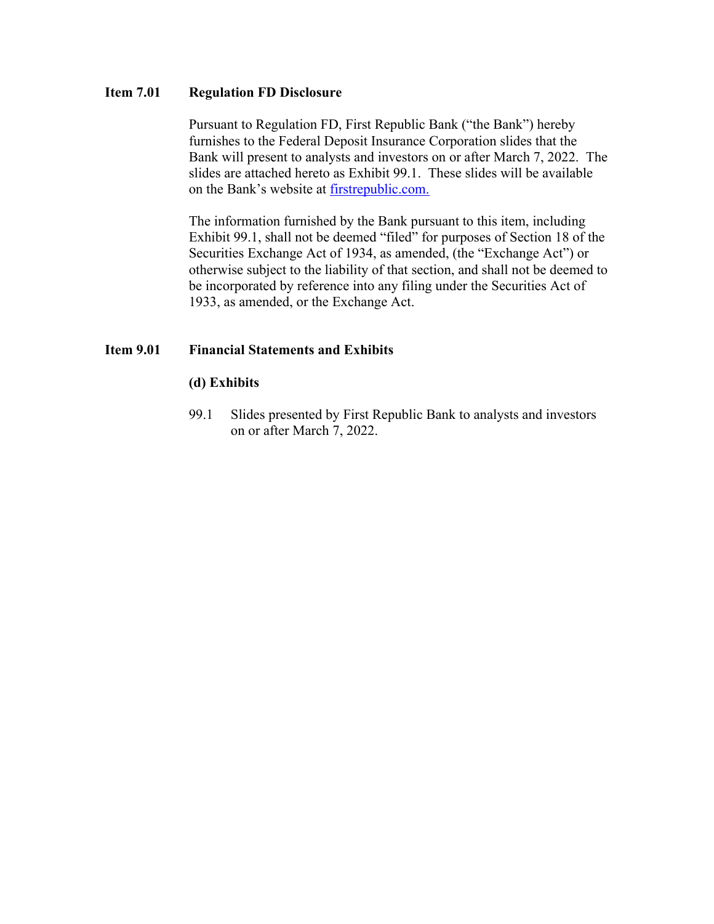## **Item 7.01 Regulation FD Disclosure**

Pursuant to Regulation FD, First Republic Bank ("the Bank") hereby furnishes to the Federal Deposit Insurance Corporation slides that the Bank will present to analysts and investors on or after March 7, 2022. The slides are attached hereto as Exhibit 99.1. These slides will be available on the Bank's website at [firstrepublic.com.](http://www.firstrepublic.com/)

The information furnished by the Bank pursuant to this item, including Exhibit 99.1, shall not be deemed "filed" for purposes of Section 18 of the Securities Exchange Act of 1934, as amended, (the "Exchange Act") or otherwise subject to the liability of that section, and shall not be deemed to be incorporated by reference into any filing under the Securities Act of 1933, as amended, or the Exchange Act.

## **Item 9.01 Financial Statements and Exhibits**

## **(d) Exhibits**

99.1 Slides presented by First Republic Bank to analysts and investors on or after March 7, 2022.